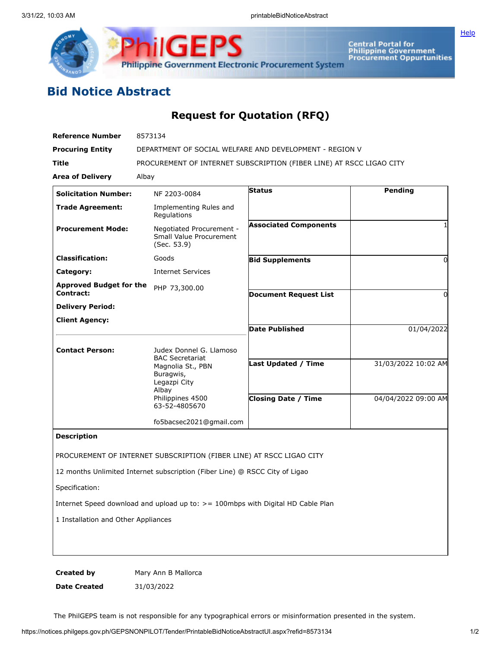

Central Portal for<br>Philippine Government<br>Procurement Oppurtunities

**[Help](javascript:void(window.open()** 

## **Bid Notice Abstract**

## **Request for Quotation (RFQ)**

| <b>Reference Number</b>                     | 8573134                                                                          |                              |                     |
|---------------------------------------------|----------------------------------------------------------------------------------|------------------------------|---------------------|
| <b>Procuring Entity</b>                     | DEPARTMENT OF SOCIAL WELFARE AND DEVELOPMENT - REGION V                          |                              |                     |
| Title                                       | PROCUREMENT OF INTERNET SUBSCRIPTION (FIBER LINE) AT RSCC LIGAO CITY             |                              |                     |
| <b>Area of Delivery</b>                     | Albay                                                                            |                              |                     |
| <b>Solicitation Number:</b>                 | NF 2203-0084                                                                     | <b>Status</b>                | Pending             |
| <b>Trade Agreement:</b>                     | Implementing Rules and<br>Regulations                                            |                              |                     |
| <b>Procurement Mode:</b>                    | Negotiated Procurement -<br>Small Value Procurement<br>(Sec. 53.9)               | <b>Associated Components</b> |                     |
| <b>Classification:</b>                      | Goods                                                                            | <b>Bid Supplements</b>       | 0                   |
| Category:                                   | <b>Internet Services</b>                                                         |                              |                     |
| <b>Approved Budget for the</b><br>Contract: | PHP 73,300.00                                                                    | <b>Document Request List</b> | O                   |
| <b>Delivery Period:</b>                     |                                                                                  |                              |                     |
| <b>Client Agency:</b>                       |                                                                                  |                              |                     |
|                                             |                                                                                  | Date Published               | 01/04/2022          |
| <b>Contact Person:</b>                      | Judex Donnel G. Llamoso<br><b>BAC Secretariat</b>                                |                              |                     |
|                                             | Magnolia St., PBN<br>Buragwis,<br>Legazpi City<br>Albay                          | <b>Last Updated / Time</b>   | 31/03/2022 10:02 AM |
|                                             | Philippines 4500<br>63-52-4805670                                                | Closing Date / Time          | 04/04/2022 09:00 AM |
|                                             | fo5bacsec2021@gmail.com                                                          |                              |                     |
| <b>Description</b>                          |                                                                                  |                              |                     |
|                                             | PROCUREMENT OF INTERNET SUBSCRIPTION (FIBER LINE) AT RSCC LIGAO CITY             |                              |                     |
|                                             | 12 months Unlimited Internet subscription (Fiber Line) @ RSCC City of Ligao      |                              |                     |
| Specification:                              |                                                                                  |                              |                     |
|                                             | Internet Speed download and upload up to: > = 100mbps with Digital HD Cable Plan |                              |                     |
| 1 Installation and Other Appliances         |                                                                                  |                              |                     |
|                                             |                                                                                  |                              |                     |
|                                             |                                                                                  |                              |                     |
|                                             |                                                                                  |                              |                     |

**Created by** Mary Ann B Mallorca **Date Created** 31/03/2022

The PhilGEPS team is not responsible for any typographical errors or misinformation presented in the system.